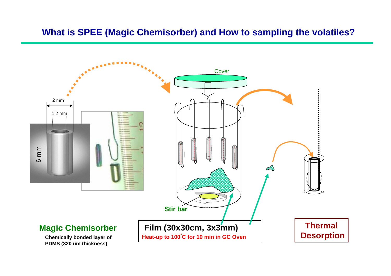#### **What is SPEE (Magic Chemisorber) and How to sampling the volatiles?**



**PDMS (320 um thickness)**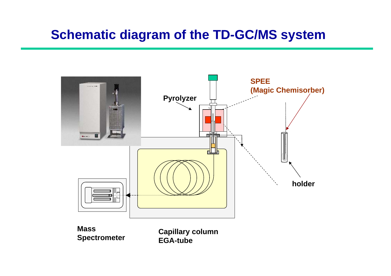# **Schematic diagram of the TD-GC/MS system**



**Mass Spectrometer**

**Capillary column EGA-tube**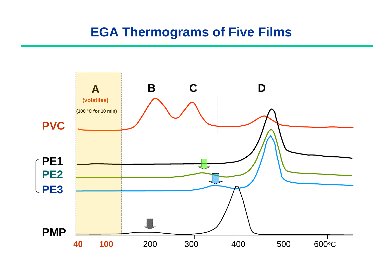# **EGA Thermograms of Five Films**

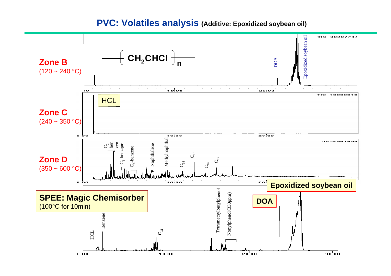**PVC: Volatiles analysis (Additive: Epoxidized soybean oil)**

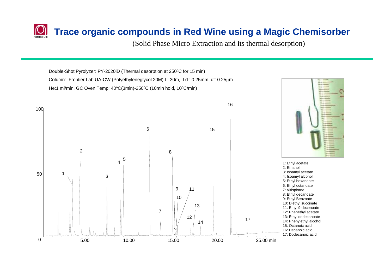#### **Trace organic compounds in Red Wine using a Magic Chemisorber**

(Solid Phase Micro Extraction and its thermal desorption)

Double-Shot Pyrolyzer: PY-2020iD (Thermal desorption at 250ºC for 15 min) Column: Frontier Lab UA-CW (Polyethyleneglycol 20M) L: 30m, I.d.: 0.25mm, df: 0.25 μ mHe:1 ml/min, GC Oven Temp: 40ºC(3min)-250ºC (10min hold, 10ºC/min)

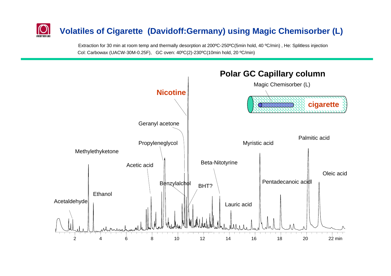## **Volatiles of Cigarette (Davidoff:Germany) using Magic Chemisorber (L)**

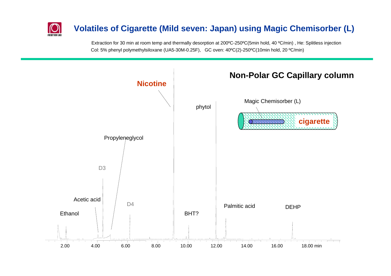# **FRODTIFR LE**

#### **Volatiles of Cigarette (Mild seven: Japan) using Magic Chemisorber (L)**

Extraction for 30 min at room temp and thermally desorption at 200ºC-250ºC(5min hold, 40 ºC/min) , He: Splitless injection Col: 5% phenyl polymethylsiloxane (UA5-30M-0.25F), GC oven: 40ºC(2)-250ºC(10min hold, 20 ºC/min)

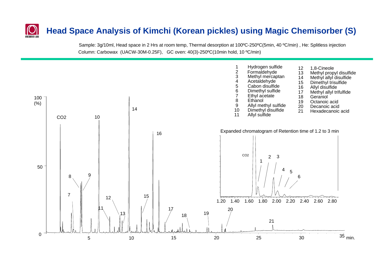#### **Head Space Analysis of Kimchi (Korean pickles) using Magic Chemisorber (S)**

Sample: 3g/10ml, Head space in 2 Hrs at room temp, Thermal desorption at 100ºC-250ºC(5min, 40 ºC/min) , He: Splitless injection Column: Carbowax (UACW-30M-0.25F), GC oven: 40(3)-250ºC(10min hold, 10 ºC/min)

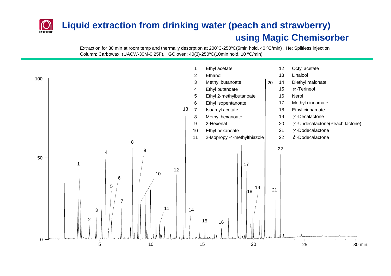# **Liquid extraction from drinking water (peach and strawberry) using Magic Chemisorber**

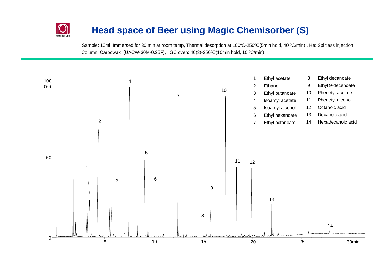#### **Head space of Beer using Magic Chemisorber (S)**

Sample: 10ml, Immersed for 30 min at room temp, Thermal desorption at 100ºC-250ºC(5min hold, 40 ºC/min) , He: Splitless injection Column: Carbowax (UACW-30M-0.25F), GC oven: 40(3)-250ºC(10min hold, 10 ºC/min)

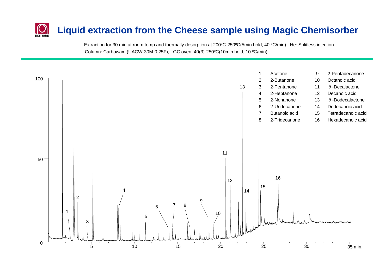# **Liquid extraction from the Cheese sample using Magic Chemisorber**

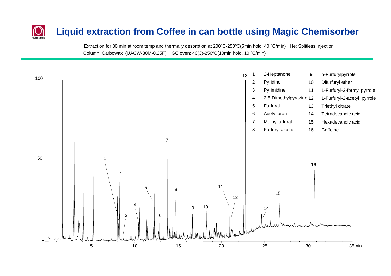# **Liquid extraction from Coffee in can bottle using Magic Chemisorber**

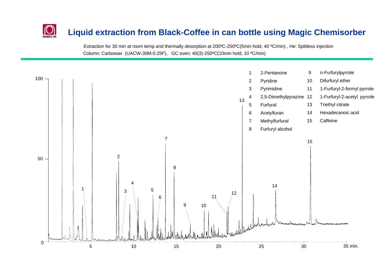#### **Liquid extraction from Black-Coffee in can bottle using Magic Chemisorber**

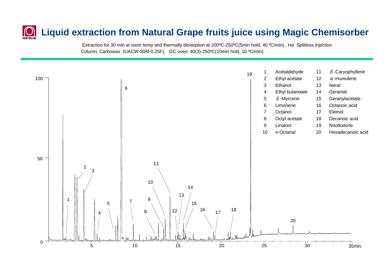# **Liquid extraction from Natural Grape fruits juice using Magic Chemisorber**

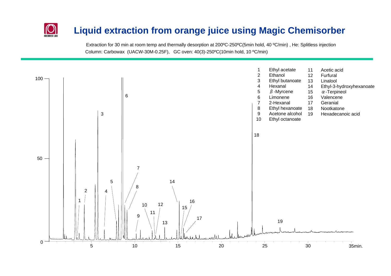# **Liquid extraction from orange juice using Magic Chemisorber**

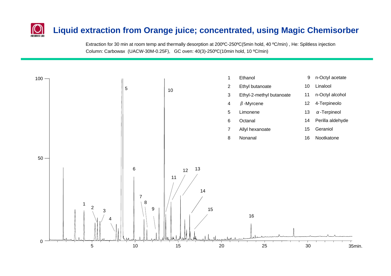#### **Liquid extraction from Orange juice; concentrated, using Magic Chemisorber**

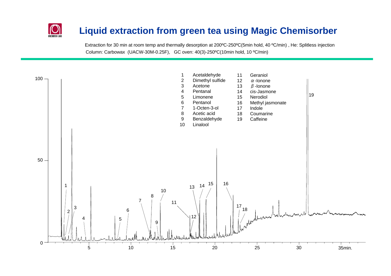#### **Liquid extraction from green tea using Magic Chemisorber**

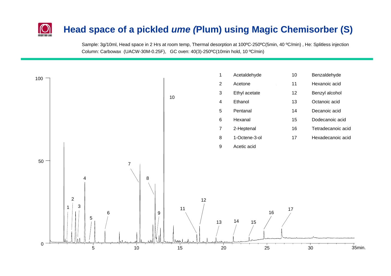# **Head space of a pickled** *ume (***Plum) using Magic Chemisorber (S)**

Sample: 3g/10ml, Head space in 2 Hrs at room temp, Thermal desorption at 100ºC-250ºC(5min, 40 ºC/min) , He: Splitless injection Column: Carbowax (UACW-30M-0.25F), GC oven: 40(3)-250ºC(10min hold, 10 ºC/min)

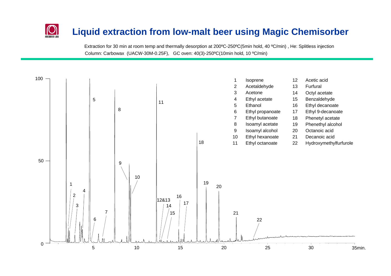### **Liquid extraction from low-malt beer using Magic Chemisorber**

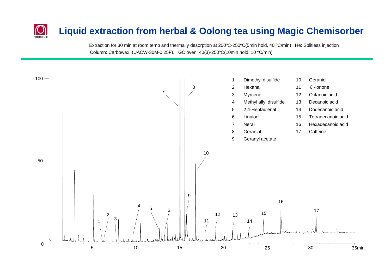# **Liquid extraction from herbal & Oolong tea using Magic Chemisorber**